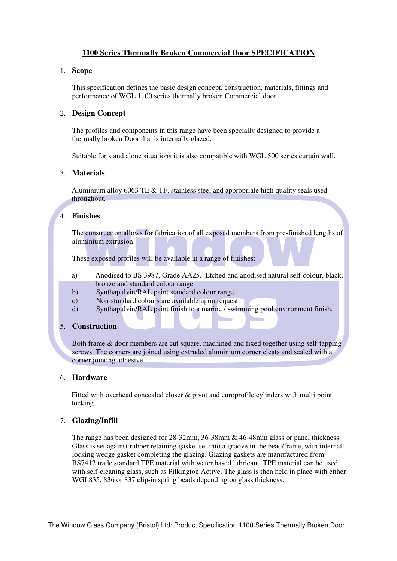# **1100 Series Thermally Broken Commercial Door SPECIFICATION**

#### 1. **Scope**

This specification defines the basic design concept, construction, materials, fittings and performance of WGL 1100 series thermally broken Commercial door.

### 2. **Design Concept**

The profiles and components in this range have been specially designed to provide a thermally broken Door that is internally glazed.

Suitable for stand alone situations it is also compatible with WGL 500 series curtain wall.

### 3. **Materials**

Aluminium alloy 6063 TE & TF, stainless steel and appropriate high quality seals used throughout.

## 4. **Finishes**

The construction allows for fabrication of all exposed members from pre-finished lengths of aluminium extrusion.

These exposed profiles will be available in a range of finishes:

- a) Anodised to BS 3987, Grade AA25. Etched and anodised natural self-colour, black, bronze and standard colour range.
- b) Synthapulvin/RAL paint standard colour range.
- c) Non-standard colours are available upon request.
- d) Synthapulvin/RAL paint finish to a marine / swimming pool environment finish.

### 5. **Construction**

Both frame & door members are cut square, machined and fixed together using self-tapping screws. The corners are joined using extruded aluminium corner cleats and sealed with a corner jointing adhesive.

## 6. **Hardware**

Fitted with overhead concealed closer & pivot and europrofile cylinders with multi point locking.

### 7. **Glazing/Infill**

The range has been designed for 28-32mm, 36-38mm & 46-48mm glass or panel thickness. Glass is set against rubber retaining gasket set into a groove in the bead/frame, with internal locking wedge gasket completing the glazing. Glazing gaskets are manufactured from BS7412 trade standard TPE material with water based lubricant. TPE material can be used with self-cleaning glass, such as Pilkington Active. The glass is then held in place with either WGL835, 836 or 837 clip-in spring beads depending on glass thickness.

The Window Glass Company (Bristol) Ltd: Product Specification 1100 Series Thermally Broken Door